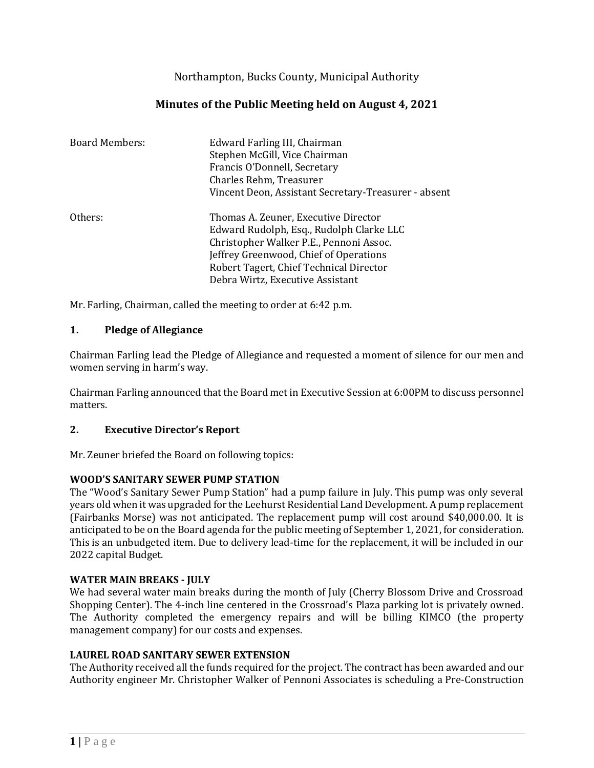Northampton, Bucks County, Municipal Authority

# **Minutes of the Public Meeting held on August 4, 2021**

| <b>Board Members:</b> | Edward Farling III, Chairman<br>Stephen McGill, Vice Chairman<br>Francis O'Donnell, Secretary<br>Charles Rehm, Treasurer<br>Vincent Deon, Assistant Secretary-Treasurer - absent                                                                     |
|-----------------------|------------------------------------------------------------------------------------------------------------------------------------------------------------------------------------------------------------------------------------------------------|
| Others:               | Thomas A. Zeuner, Executive Director<br>Edward Rudolph, Esq., Rudolph Clarke LLC<br>Christopher Walker P.E., Pennoni Assoc.<br>Jeffrey Greenwood, Chief of Operations<br>Robert Tagert, Chief Technical Director<br>Debra Wirtz, Executive Assistant |

Mr. Farling, Chairman, called the meeting to order at 6:42 p.m.

## **1. Pledge of Allegiance**

Chairman Farling lead the Pledge of Allegiance and requested a moment of silence for our men and women serving in harm's way.

Chairman Farling announced that the Board met in Executive Session at 6:00PM to discuss personnel matters.

## **2. Executive Director's Report**

Mr. Zeuner briefed the Board on following topics:

## **WOOD'S SANITARY SEWER PUMP STATION**

The "Wood's Sanitary Sewer Pump Station" had a pump failure in July. This pump was only several years old when it was upgraded for the Leehurst Residential Land Development. A pump replacement (Fairbanks Morse) was not anticipated. The replacement pump will cost around \$40,000.00. It is anticipated to be on the Board agenda for the public meeting of September 1, 2021, for consideration. This is an unbudgeted item. Due to delivery lead-time for the replacement, it will be included in our 2022 capital Budget.

### **WATER MAIN BREAKS - JULY**

We had several water main breaks during the month of July (Cherry Blossom Drive and Crossroad Shopping Center). The 4-inch line centered in the Crossroad's Plaza parking lot is privately owned. The Authority completed the emergency repairs and will be billing KIMCO (the property management company) for our costs and expenses.

### **LAUREL ROAD SANITARY SEWER EXTENSION**

The Authority received all the funds required for the project. The contract has been awarded and our Authority engineer Mr. Christopher Walker of Pennoni Associates is scheduling a Pre-Construction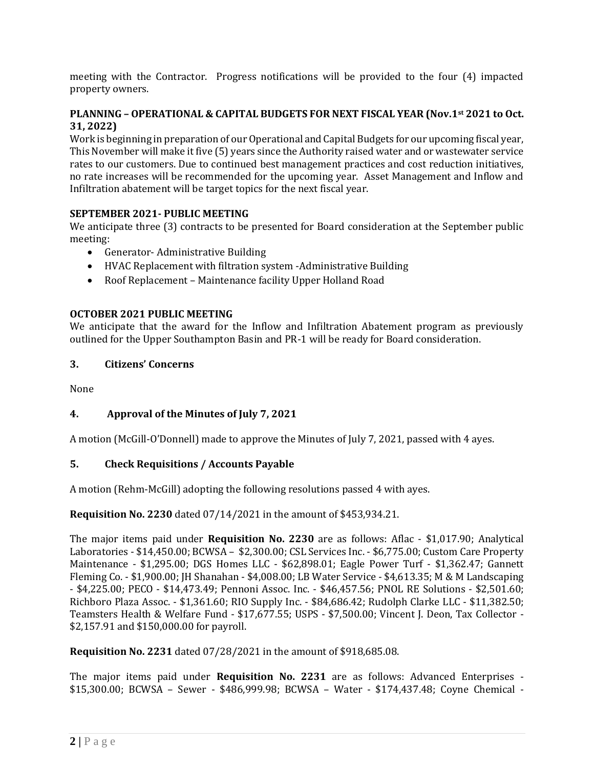meeting with the Contractor. Progress notifications will be provided to the four (4) impacted property owners.

## **PLANNING – OPERATIONAL & CAPITAL BUDGETS FOR NEXT FISCAL YEAR (Nov.1st 2021 to Oct. 31, 2022)**

Work is beginning in preparation of our Operational and Capital Budgets for our upcoming fiscal year, This November will make it five (5) years since the Authority raised water and or wastewater service rates to our customers. Due to continued best management practices and cost reduction initiatives, no rate increases will be recommended for the upcoming year. Asset Management and Inflow and Infiltration abatement will be target topics for the next fiscal year.

## **SEPTEMBER 2021- PUBLIC MEETING**

We anticipate three (3) contracts to be presented for Board consideration at the September public meeting:

- Generator- Administrative Building
- HVAC Replacement with filtration system -Administrative Building
- Roof Replacement Maintenance facility Upper Holland Road

## **OCTOBER 2021 PUBLIC MEETING**

We anticipate that the award for the Inflow and Infiltration Abatement program as previously outlined for the Upper Southampton Basin and PR-1 will be ready for Board consideration.

### **3. Citizens' Concerns**

None

## **4. Approval of the Minutes of July 7, 2021**

A motion (McGill-O'Donnell) made to approve the Minutes of July 7, 2021, passed with 4 ayes.

## **5. Check Requisitions / Accounts Payable**

A motion (Rehm-McGill) adopting the following resolutions passed 4 with ayes.

**Requisition No. 2230** dated 07/14/2021 in the amount of \$453,934.21.

The major items paid under **Requisition No. 2230** are as follows: Aflac - \$1,017.90; Analytical Laboratories - \$14,450.00; BCWSA – \$2,300.00; CSL Services Inc. - \$6,775.00; Custom Care Property Maintenance - \$1,295.00; DGS Homes LLC - \$62,898.01; Eagle Power Turf - \$1,362.47; Gannett Fleming Co. - \$1,900.00; JH Shanahan - \$4,008.00; LB Water Service - \$4,613.35; M & M Landscaping - \$4,225.00; PECO - \$14,473.49; Pennoni Assoc. Inc. - \$46,457.56; PNOL RE Solutions - \$2,501.60; Richboro Plaza Assoc. - \$1,361.60; RIO Supply Inc. - \$84,686.42; Rudolph Clarke LLC - \$11,382.50; Teamsters Health & Welfare Fund - \$17,677.55; USPS - \$7,500.00; Vincent J. Deon, Tax Collector - \$2,157.91 and \$150,000.00 for payroll.

**Requisition No. 2231** dated 07/28/2021 in the amount of \$918,685.08.

The major items paid under **Requisition No. 2231** are as follows: Advanced Enterprises - \$15,300.00; BCWSA – Sewer - \$486,999.98; BCWSA – Water - \$174,437.48; Coyne Chemical -